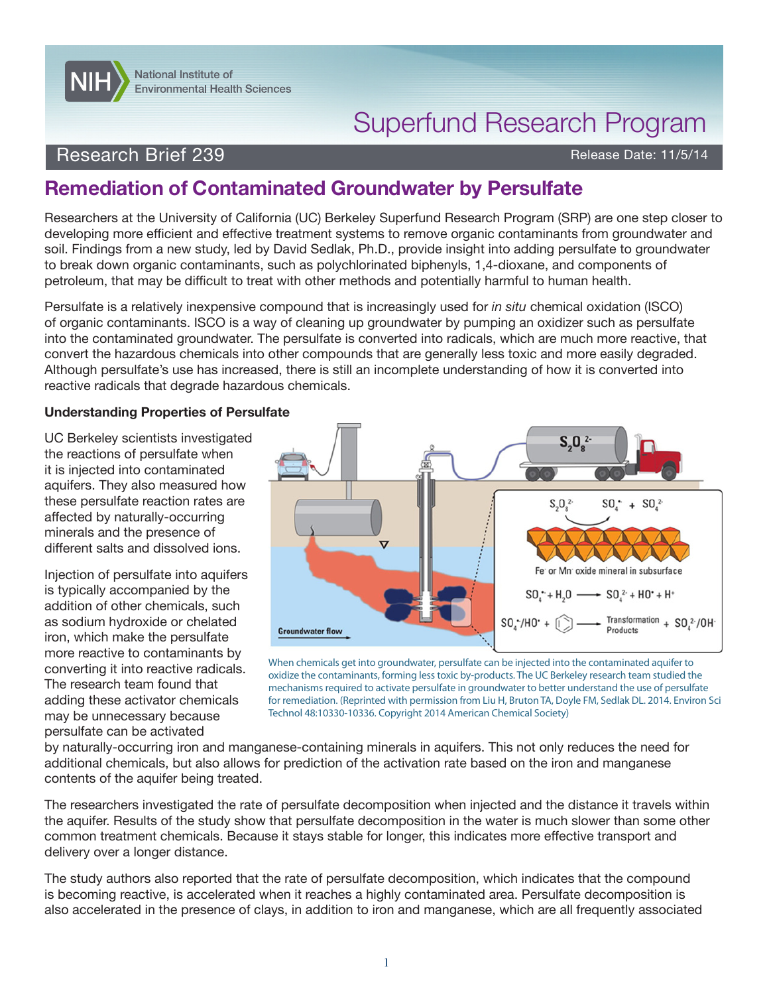

# Superfund Research Program

### Research Brief 239 **Research Brief 239** Release Date: 11/5/14

## **Remediation of Contaminated Groundwater by Persulfate**

Researchers at the University of California (UC) Berkeley Superfund Research Program (SRP) are one step closer to developing more efficient and effective treatment systems to remove organic contaminants from groundwater and soil. Findings from a new study, led by David Sedlak, Ph.D., provide insight into adding persulfate to groundwater to break down organic contaminants, such as polychlorinated biphenyls, 1,4-dioxane, and components of petroleum, that may be difficult to treat with other methods and potentially harmful to human health.

Persulfate is a relatively inexpensive compound that is increasingly used for *in situ* chemical oxidation (ISCO) of organic contaminants. ISCO is a way of cleaning up groundwater by pumping an oxidizer such as persulfate into the contaminated groundwater. The persulfate is converted into radicals, which are much more reactive, that convert the hazardous chemicals into other compounds that are generally less toxic and more easily degraded. Although persulfate's use has increased, there is still an incomplete understanding of how it is converted into reactive radicals that degrade hazardous chemicals.

#### **Understanding Properties of Persulfate**

UC Berkeley scientists investigated the reactions of persulfate when it is injected into contaminated aquifers. They also measured how these persulfate reaction rates are affected by naturally-occurring minerals and the presence of different salts and dissolved ions.

Injection of persulfate into aquifers is typically accompanied by the addition of other chemicals, such as sodium hydroxide or chelated iron, which make the persulfate more reactive to contaminants by converting it into reactive radicals. The research team found that adding these activator chemicals may be unnecessary because persulfate can be activated



When chemicals get into groundwater, persulfate can be injected into the contaminated aquifer to oxidize the contaminants, forming less toxic by-products. The UC Berkeley research team studied the mechanisms required to activate persulfate in groundwater to better understand the use of persulfate for remediation. (Reprinted with permission from Liu H, Bruton TA, Doyle FM, Sedlak DL. 2014. Environ Sci Technol 48:10330-10336. Copyright 2014 American Chemical Society)

by naturally-occurring iron and manganese-containing minerals in aquifers. This not only reduces the need for additional chemicals, but also allows for prediction of the activation rate based on the iron and manganese contents of the aquifer being treated.

The researchers investigated the rate of persulfate decomposition when injected and the distance it travels within the aquifer. Results of the study show that persulfate decomposition in the water is much slower than some other common treatment chemicals. Because it stays stable for longer, this indicates more effective transport and delivery over a longer distance.

The study authors also reported that the rate of persulfate decomposition, which indicates that the compound is becoming reactive, is accelerated when it reaches a highly contaminated area. Persulfate decomposition is also accelerated in the presence of clays, in addition to iron and manganese, which are all frequently associated